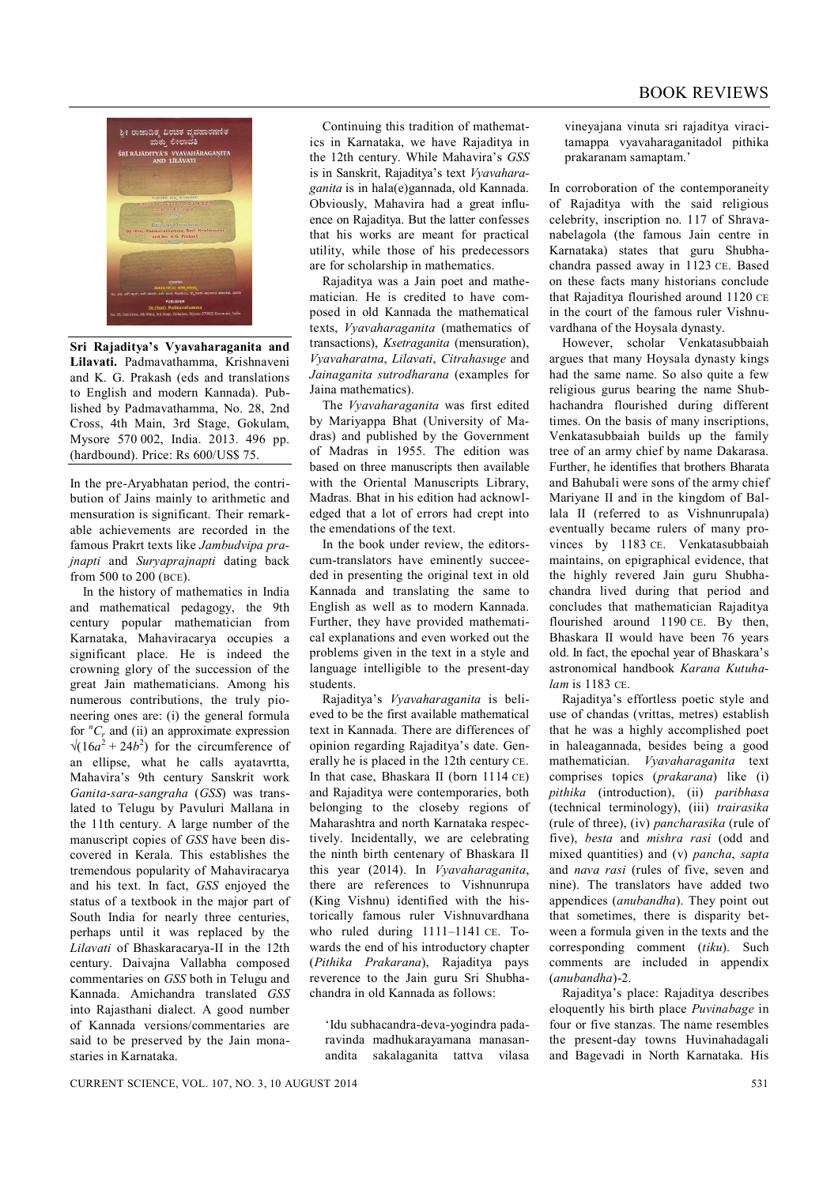

**Sri Rajaditya's Vyavaharaganita and Lilavati.** Padmavathamma, Krishnaveni and K. G. Prakash (eds and translations to English and modern Kannada). Published by Padmavathamma, No. 28, 2nd Cross, 4th Main, 3rd Stage, Gokulam, Mysore 570 002, India. 2013. 496 pp. (hardbound). Price: Rs 600/US\$ 75.

In the pre-Aryabhatan period, the contribution of Jains mainly to arithmetic and mensuration is significant. Their remarkable achievements are recorded in the famous Prakrt texts like *Jambudvipa prajnapti* and *Suryaprajnapti* dating back from 500 to 200 (BCE).

In the history of mathematics in India and mathematical pedagogy, the 9th century popular mathematician from Karnataka, Mahaviracarya occupies a significant place. He is indeed the crowning glory of the succession of the great Jain mathematicians. Among his numerous contributions, the truly pioneering ones are: (i) the general formula for  ${}^nC_r$  and (ii) an approximate expression  $\sqrt{(16a^2 + 24b^2)}$  for the circumference of an ellipse, what he calls ayatavrtta, Mahavira's 9th century Sanskrit work *Ganita-sara-sangraha* (*GSS*) was translated to Telugu by Pavuluri Mallana in the 11th century. A large number of the manuscript copies of *GSS* have been discovered in Kerala. This establishes the tremendous popularity of Mahaviracarya and his text. In fact, *GSS* enjoyed the status of a textbook in the major part of South India for nearly three centuries, perhaps until it was replaced by the *Lilavati* of Bhaskaracarya-II in the 12th century. Daivajna Vallabha composed commentaries on *GSS* both in Telugu and Kannada. Amichandra translated *GSS* into Rajasthani dialect. A good number of Kannada versions/commentaries are said to be preserved by the Jain monastaries in Karnataka.

Continuing this tradition of mathematics in Karnataka, we have Rajaditya in the 12th century. While Mahavira's *GSS* is in Sanskrit, Rajaditya's text *Vyavaharaganita* is in hala(e)gannada, old Kannada. Obviously, Mahavira had a great influence on Rajaditya. But the latter confesses that his works are meant for practical utility, while those of his predecessors are for scholarship in mathematics.

Rajaditya was a Jain poet and mathematician. He is credited to have composed in old Kannada the mathematical texts, *Vyavaharaganita* (mathematics of transactions), *Ksetraganita* (mensuration), *Vyavaharatna*, *Lilavati*, *Citrahasuge* and *Jainaganita sutrodharana* (examples for Jaina mathematics).

The *Vyavaharaganita* was first edited by Mariyappa Bhat (University of Madras) and published by the Government of Madras in 1955. The edition was based on three manuscripts then available with the Oriental Manuscripts Library, Madras. Bhat in his edition had acknowledged that a lot of errors had crept into the emendations of the text.

In the book under review, the editorscum-translators have eminently succeeded in presenting the original text in old Kannada and translating the same to English as well as to modern Kannada. Further, they have provided mathematical explanations and even worked out the problems given in the text in a style and language intelligible to the present-day students.

Rajaditya's *Vyavaharaganita* is believed to be the first available mathematical text in Kannada. There are differences of opinion regarding Rajaditya's date. Generally he is placed in the 12th century CE. In that case, Bhaskara II (born 1114 CE) and Rajaditya were contemporaries, both belonging to the closeby regions of Maharashtra and north Karnataka respectively. Incidentally, we are celebrating the ninth birth centenary of Bhaskara II this year (2014). In *Vyavaharaganita*, there are references to Vishnunrupa (King Vishnu) identified with the historically famous ruler Vishnuvardhana who ruled during 1111–1141 CE. Towards the end of his introductory chapter (*Pithika Prakarana*), Rajaditya pays reverence to the Jain guru Sri Shubhachandra in old Kannada as follows:

'Idu subhacandra-deva-yogindra padaravinda madhukarayamana manasanandita sakalaganita tattva vilasa vineyajana vinuta sri rajaditya viracitamappa vyavaharaganitadol pithika prakaranam samaptam.'

In corroboration of the contemporaneity of Rajaditya with the said religious celebrity, inscription no. 117 of Shravanabelagola (the famous Jain centre in Karnataka) states that guru Shubhachandra passed away in 1123 CE. Based on these facts many historians conclude that Rajaditya flourished around 1120 CE in the court of the famous ruler Vishnuvardhana of the Hoysala dynasty.

However, scholar Venkatasubbaiah argues that many Hoysala dynasty kings had the same name. So also quite a few religious gurus bearing the name Shubhachandra flourished during different times. On the basis of many inscriptions, Venkatasubbaiah builds up the family tree of an army chief by name Dakarasa. Further, he identifies that brothers Bharata and Bahubali were sons of the army chief Mariyane II and in the kingdom of Ballala II (referred to as Vishnunrupala) eventually became rulers of many provinces by 1183 CE. Venkatasubbaiah maintains, on epigraphical evidence, that the highly revered Jain guru Shubhachandra lived during that period and concludes that mathematician Rajaditya flourished around 1190 CE. By then, Bhaskara II would have been 76 years old. In fact, the epochal year of Bhaskara's astronomical handbook *Karana Kutuhalam* is 1183 CE.

Rajaditya's effortless poetic style and use of chandas (vrittas, metres) establish that he was a highly accomplished poet in haleagannada, besides being a good mathematician. *Vyavaharaganita* text comprises topics (*prakarana*) like (i) *pithika* (introduction), (ii) *paribhasa* (technical terminology), (iii) *trairasika* (rule of three), (iv) *pancharasika* (rule of five), *besta* and *mishra rasi* (odd and mixed quantities) and (v) *pancha*, *sapta* and *nava rasi* (rules of five, seven and nine). The translators have added two appendices (*anubandha*). They point out that sometimes, there is disparity between a formula given in the texts and the corresponding comment (*tiku*). Such comments are included in appendix (*anubandha*)-2.

Rajaditya's place: Rajaditya describes eloquently his birth place *Puvinabage* in four or five stanzas. The name resembles the present-day towns Huvinahadagali and Bagevadi in North Karnataka. His